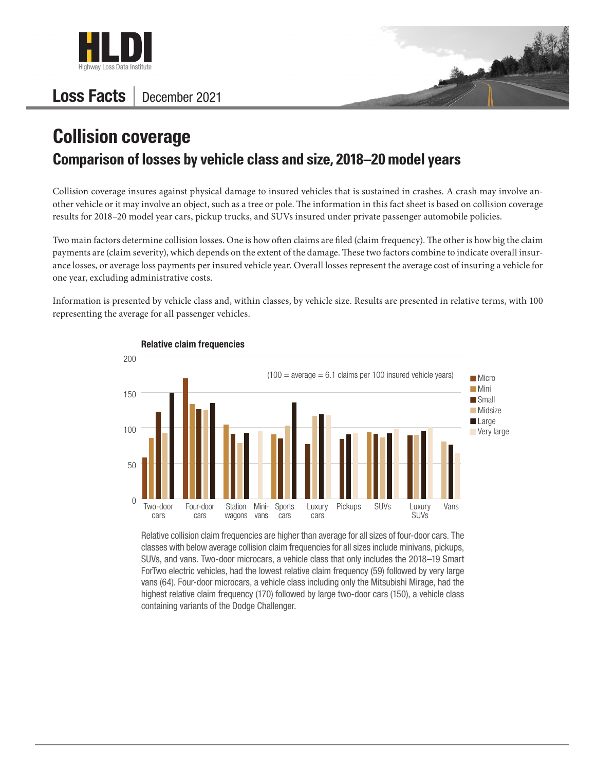

## Loss Facts | December 2021



## **Collision coverage Comparison of losses by vehicle class and size, 2018–20 model years**

Collision coverage insures against physical damage to insured vehicles that is sustained in crashes. A crash may involve another vehicle or it may involve an object, such as a tree or pole. The information in this fact sheet is based on collision coverage results for 2018–20 model year cars, pickup trucks, and SUVs insured under private passenger automobile policies.

Two main factors determine collision losses. One is how often claims are filed (claim frequency). The other is how big the claim payments are (claim severity), which depends on the extent of the damage. These two factors combine to indicate overall insurance losses, or average loss payments per insured vehicle year. Overall losses represent the average cost of insuring a vehicle for one year, excluding administrative costs.

Information is presented by vehicle class and, within classes, by vehicle size. Results are presented in relative terms, with 100 representing the average for all passenger vehicles.



Relative collision claim frequencies are higher than average for all sizes of four-door cars. The classes with below average collision claim frequencies for all sizes include minivans, pickups, SUVs, and vans. Two-door microcars, a vehicle class that only includes the 2018–19 Smart ForTwo electric vehicles, had the lowest relative claim frequency (59) followed by very large vans (64). Four-door microcars, a vehicle class including only the Mitsubishi Mirage, had the highest relative claim frequency (170) followed by large two-door cars (150), a vehicle class containing variants of the Dodge Challenger.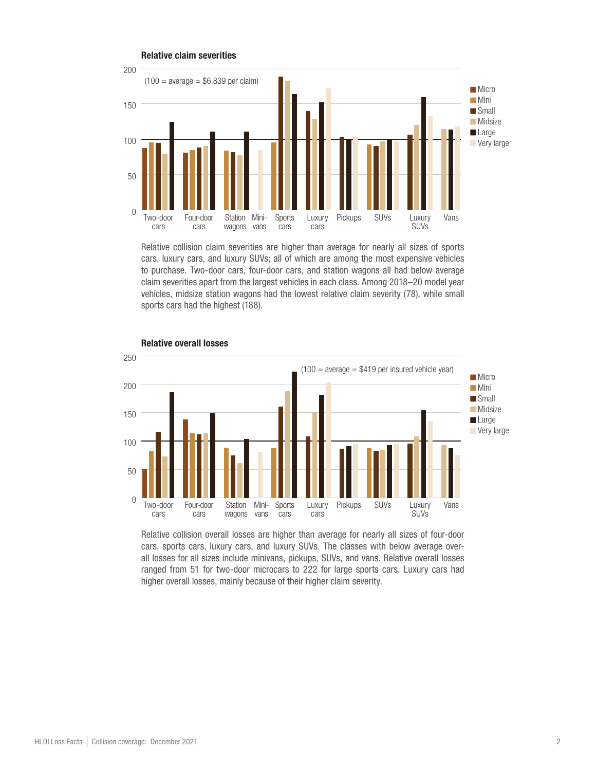

Relative collision claim severities are higher than average for nearly all sizes of sports cars, luxury cars, and luxury SUVs; all of which are among the most expensive vehicles to purchase. Two-door cars, four-door cars, and station wagons all had below average claim severities apart from the largest vehicles in each class. Among 2018–20 model year vehicles, midsize station wagons had the lowest relative claim severity (78), while small sports cars had the highest (188).



## Relative overall losses

Relative collision overall losses are higher than average for nearly all sizes of four-door cars, sports cars, luxury cars, and luxury SUVs. The classes with below average overall losses for all sizes include minivans, pickups, SUVs, and vans. Relative overall losses ranged from 51 for two-door microcars to 222 for large sports cars. Luxury cars had higher overall losses, mainly because of their higher claim severity.